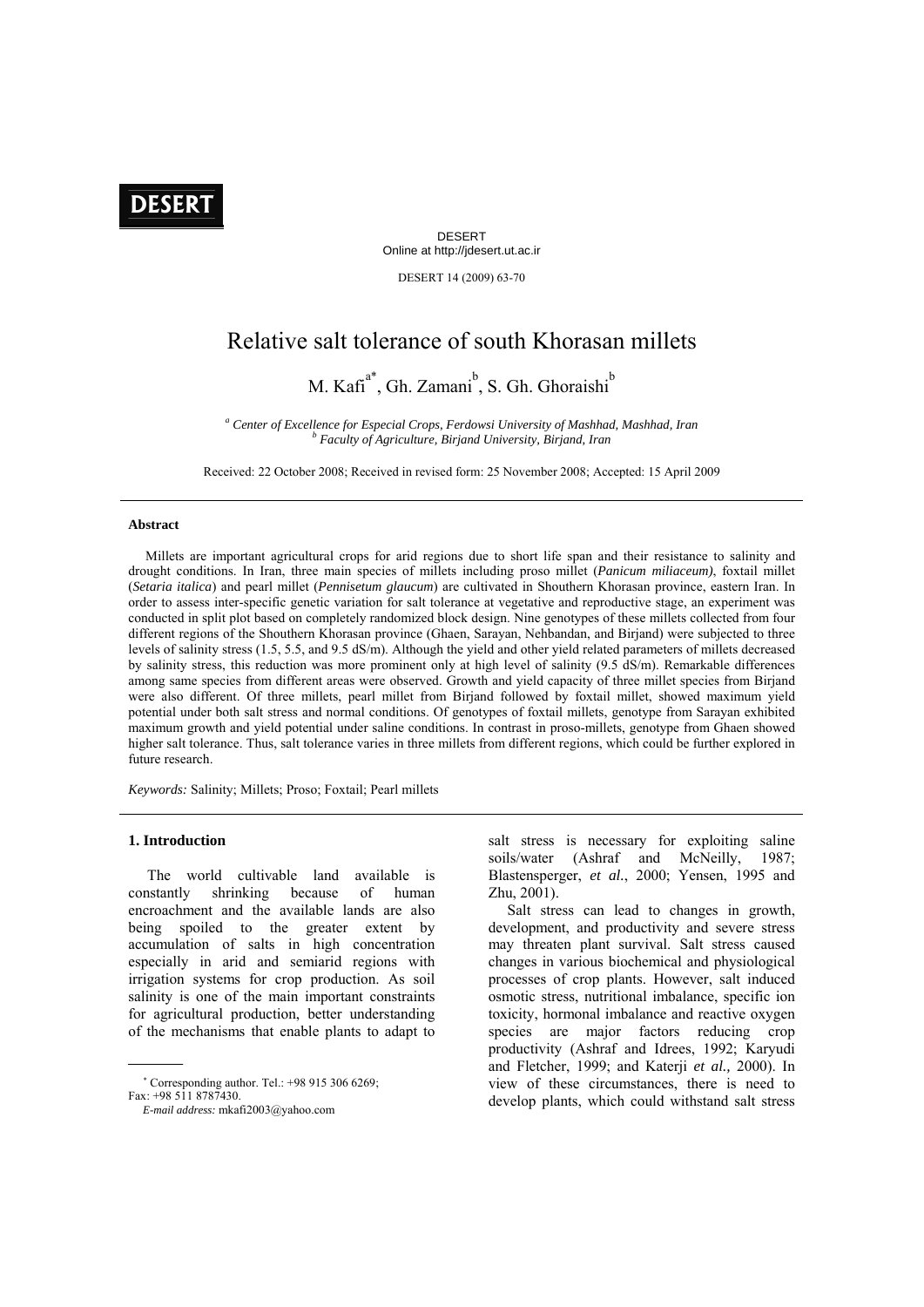# **DESERT**

DESERT Online at http://jdesert.ut.ac.ir

DESERT 14 (2009) 63-70

## Relative salt tolerance of south Khorasan millets

M. Kafi<sup>a\*</sup>, Gh. Zamani<sup>b</sup>, S. Gh. Ghoraishi<sup>b</sup>

<sup>a</sup> Center of Excellence for Especial Crops, Ferdowsi University of Mashhad, Mashhad, Iran **b** Easy by Gashhad, Iran  *Faculty of Agriculture, Birjand University, Birjand, Iran* 

Received: 22 October 2008; Received in revised form: 25 November 2008; Accepted: 15 April 2009

#### **Abstract**

 Millets are important agricultural crops for arid regions due to short life span and their resistance to salinity and drought conditions. In Iran, three main species of millets including proso millet (*Panicum miliaceum)*, foxtail millet (*Setaria italica*) and pearl millet (*Pennisetum glaucum*) are cultivated in Shouthern Khorasan province, eastern Iran. In order to assess inter-specific genetic variation for salt tolerance at vegetative and reproductive stage, an experiment was conducted in split plot based on completely randomized block design. Nine genotypes of these millets collected from four different regions of the Shouthern Khorasan province (Ghaen, Sarayan, Nehbandan, and Birjand) were subjected to three levels of salinity stress (1.5, 5.5, and 9.5 dS/m). Although the yield and other yield related parameters of millets decreased by salinity stress, this reduction was more prominent only at high level of salinity (9.5 dS/m). Remarkable differences among same species from different areas were observed. Growth and yield capacity of three millet species from Birjand were also different. Of three millets, pearl millet from Birjand followed by foxtail millet, showed maximum yield potential under both salt stress and normal conditions. Of genotypes of foxtail millets, genotype from Sarayan exhibited maximum growth and yield potential under saline conditions. In contrast in proso-millets, genotype from Ghaen showed higher salt tolerance. Thus, salt tolerance varies in three millets from different regions, which could be further explored in future research.

*Keywords:* Salinity; Millets; Proso; Foxtail; Pearl millets

## **1. Introduction**

 The world cultivable land available is constantly shrinking because of human encroachment and the available lands are also being spoiled to the greater extent by accumulation of salts in high concentration especially in arid and semiarid regions with irrigation systems for crop production. As soil salinity is one of the main important constraints for agricultural production, better understanding of the mechanisms that enable plants to adapt to salt stress is necessary for exploiting saline soils/water (Ashraf and McNeilly, 1987; Blastensperger, *et al.*, 2000; Yensen, 1995 and Zhu, 2001).

 Salt stress can lead to changes in growth, development, and productivity and severe stress may threaten plant survival. Salt stress caused changes in various biochemical and physiological processes of crop plants. However, salt induced osmotic stress, nutritional imbalance, specific ion toxicity, hormonal imbalance and reactive oxygen species are major factors reducing crop productivity (Ashraf and Idrees, 1992; Karyudi and Fletcher, 1999; and Katerji *et al.,* 2000). In view of these circumstances, there is need to develop plants, which could withstand salt stress

 Corresponding author. Tel.: +98 915 306 6269; Fax: +98 511 8787430.

*E-mail address:* mkafi2003@yahoo.com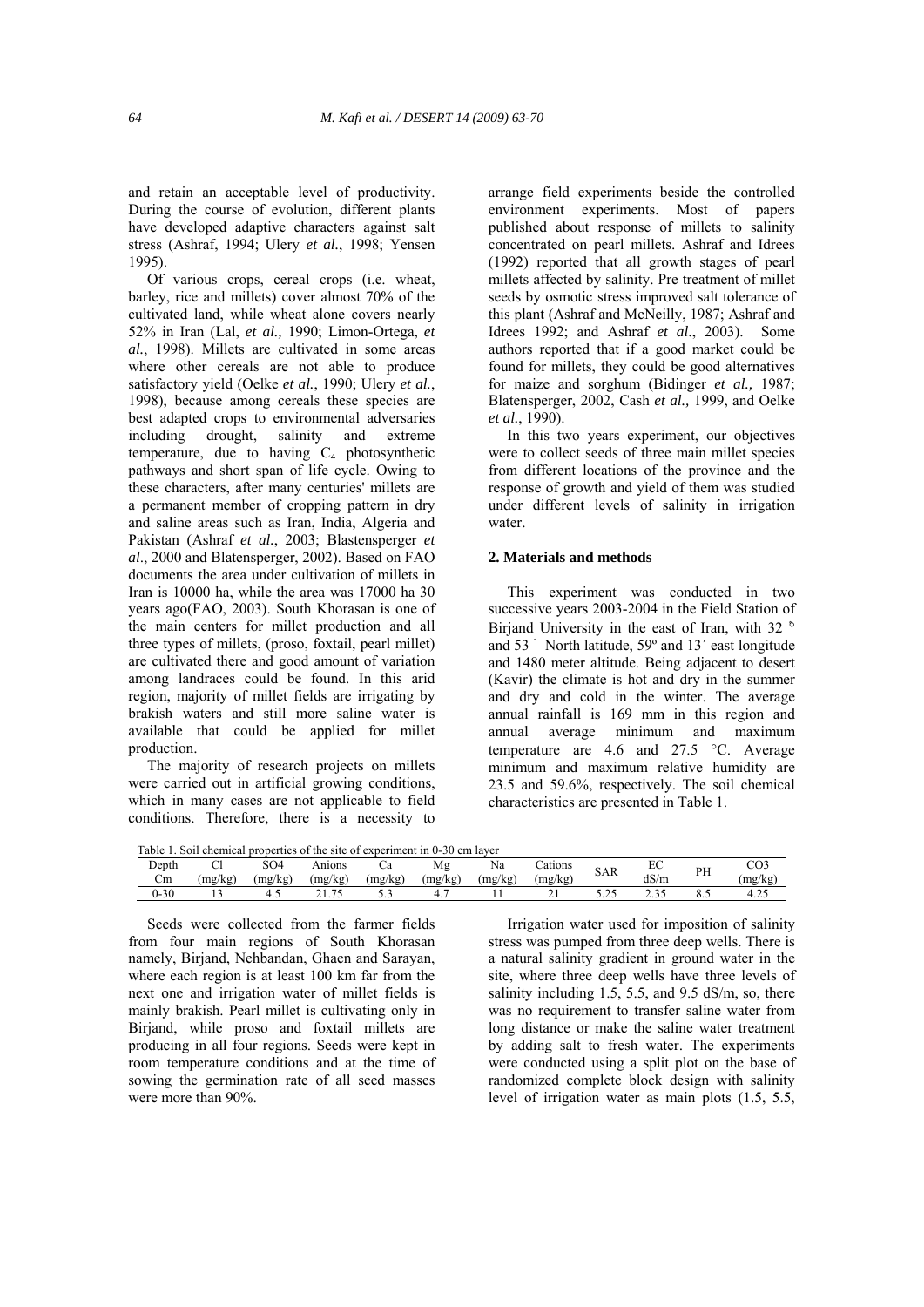and retain an acceptable level of productivity. During the course of evolution, different plants have developed adaptive characters against salt stress (Ashraf, 1994; Ulery *et al.*, 1998; Yensen 1995).

 Of various crops, cereal crops (i.e. wheat, barley, rice and millets) cover almost 70% of the cultivated land, while wheat alone covers nearly 52% in Iran (Lal, *et al.,* 1990; Limon-Ortega, *et al.*, 1998). Millets are cultivated in some areas where other cereals are not able to produce satisfactory yield (Oelke *et al.*, 1990; Ulery *et al.*, 1998), because among cereals these species are best adapted crops to environmental adversaries including drought, salinity and extreme temperature, due to having  $C_4$  photosynthetic pathways and short span of life cycle. Owing to these characters, after many centuries' millets are a permanent member of cropping pattern in dry and saline areas such as Iran, India, Algeria and Pakistan (Ashraf *et al.*, 2003; Blastensperger *et al*., 2000 and Blatensperger, 2002). Based on FAO documents the area under cultivation of millets in Iran is 10000 ha, while the area was 17000 ha 30 years ago(FAO, 2003). South Khorasan is one of the main centers for millet production and all three types of millets, (proso, foxtail, pearl millet) are cultivated there and good amount of variation among landraces could be found. In this arid region, majority of millet fields are irrigating by brakish waters and still more saline water is available that could be applied for millet production.

 The majority of research projects on millets were carried out in artificial growing conditions, which in many cases are not applicable to field conditions. Therefore, there is a necessity to

arrange field experiments beside the controlled environment experiments. Most of papers published about response of millets to salinity concentrated on pearl millets. Ashraf and Idrees (1992) reported that all growth stages of pearl millets affected by salinity. Pre treatment of millet seeds by osmotic stress improved salt tolerance of this plant (Ashraf and McNeilly, 1987; Ashraf and Idrees 1992; and Ashraf *et al*., 2003). Some authors reported that if a good market could be found for millets, they could be good alternatives for maize and sorghum (Bidinger *et al.,* 1987; Blatensperger, 2002, Cash *et al.,* 1999, and Oelke *et al.*, 1990).

 In this two years experiment, our objectives were to collect seeds of three main millet species from different locations of the province and the response of growth and yield of them was studied under different levels of salinity in irrigation water.

### **2. Materials and methods**

 This experiment was conducted in two successive years 2003-2004 in the Field Station of Birjand University in the east of Iran, with 32  $\degree$ and 53 َ North latitude, 59º and 13´ east longitude and 1480 meter altitude. Being adjacent to desert (Kavir) the climate is hot and dry in the summer and dry and cold in the winter. The average annual rainfall is 169 mm in this region and annual average minimum and maximum temperature are  $4.6$  and  $27.5$  °C. Average minimum and maximum relative humidity are 23.5 and 59.6%, respectively. The soil chemical characteristics are presented in Table 1.

| Table 1. | Soil chemical properties of the site of experiment in 0-30 cm layer |         |         |         |         |         |          |        |      |    |         |
|----------|---------------------------------------------------------------------|---------|---------|---------|---------|---------|----------|--------|------|----|---------|
| Depth    |                                                                     | SO4     | Anions  | υa      | Mg      | Na      | .`atıons | SAR    | EU   | PH | CO3     |
| Cm       | (mg/kg`                                                             | (mg/kg) | (mg/kg) | (mg/kg) | (mg/kg) | (mg/kg) | (mg/kg`  |        | dS/m |    | (mg/kg  |
| $0 - 30$ |                                                                     |         |         |         |         |         | - 1      | س کے ب |      |    | $4.2 -$ |

 Seeds were collected from the farmer fields from four main regions of South Khorasan namely, Birjand, Nehbandan, Ghaen and Sarayan, where each region is at least 100 km far from the next one and irrigation water of millet fields is mainly brakish. Pearl millet is cultivating only in Birjand, while proso and foxtail millets are producing in all four regions. Seeds were kept in room temperature conditions and at the time of sowing the germination rate of all seed masses were more than 90%.

 Irrigation water used for imposition of salinity stress was pumped from three deep wells. There is a natural salinity gradient in ground water in the site, where three deep wells have three levels of salinity including  $1.5$ ,  $5.5$ , and  $9.5$  dS/m, so, there was no requirement to transfer saline water from long distance or make the saline water treatment by adding salt to fresh water. The experiments were conducted using a split plot on the base of randomized complete block design with salinity level of irrigation water as main plots (1.5, 5.5,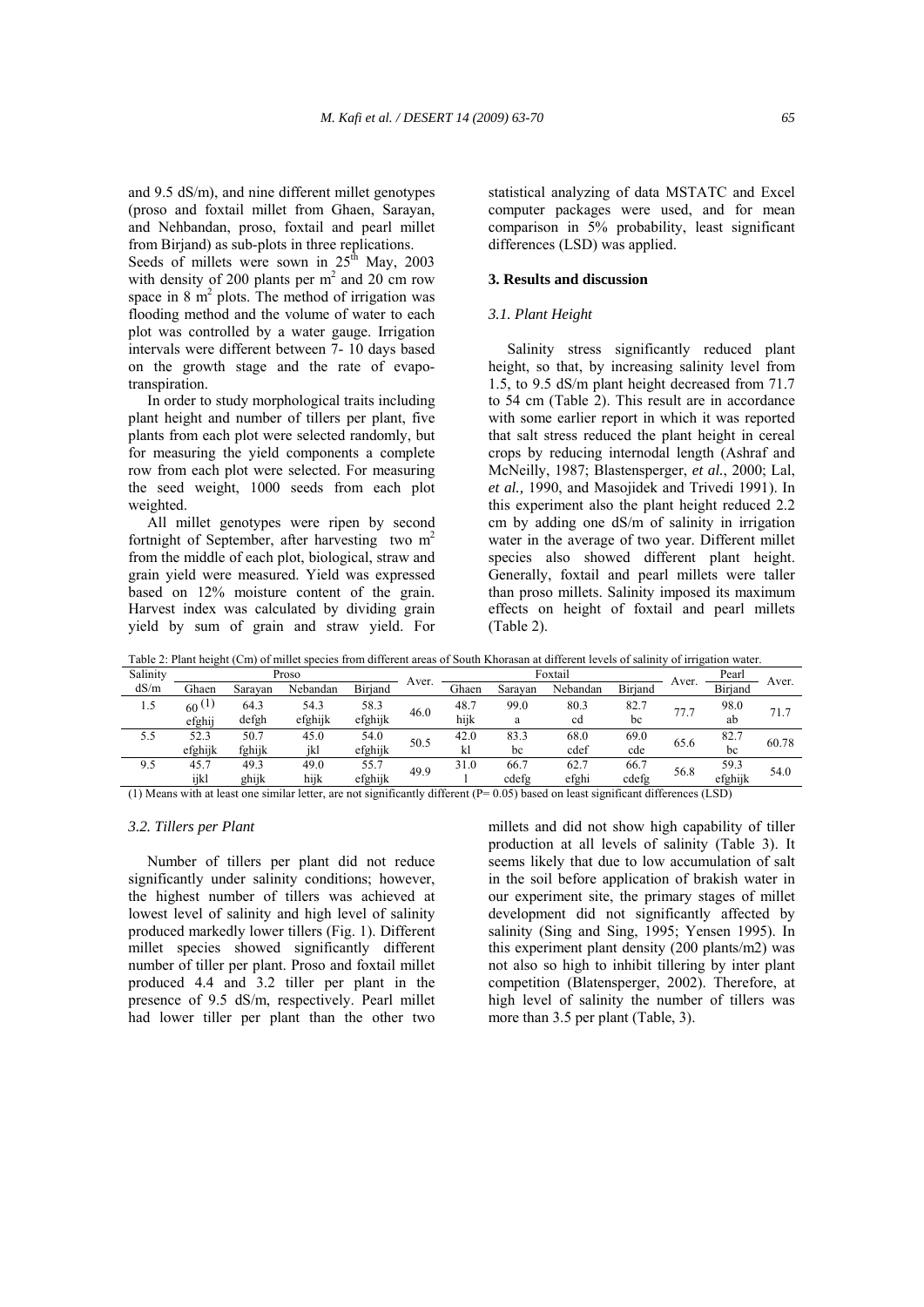and 9.5 dS/m), and nine different millet genotypes (proso and foxtail millet from Ghaen, Sarayan, and Nehbandan, proso, foxtail and pearl millet from Birjand) as sub-plots in three replications.

Seeds of millets were sown in  $25<sup>th</sup>$  May, 2003 with density of 200 plants per  $m<sup>2</sup>$  and 20 cm row space in  $8 \text{ m}^2$  plots. The method of irrigation was flooding method and the volume of water to each plot was controlled by a water gauge. Irrigation intervals were different between 7- 10 days based on the growth stage and the rate of evapotranspiration.

 In order to study morphological traits including plant height and number of tillers per plant, five plants from each plot were selected randomly, but for measuring the yield components a complete row from each plot were selected. For measuring the seed weight, 1000 seeds from each plot weighted.

 All millet genotypes were ripen by second fortnight of September, after harvesting two  $m<sup>2</sup>$ from the middle of each plot, biological, straw and grain yield were measured. Yield was expressed based on 12% moisture content of the grain. Harvest index was calculated by dividing grain yield by sum of grain and straw yield. For

statistical analyzing of data MSTATC and Excel computer packages were used, and for mean comparison in 5% probability, least significant differences (LSD) was applied.

## **3. Results and discussion**

## *3.1. Plant Height*

 Salinity stress significantly reduced plant height, so that, by increasing salinity level from 1.5, to 9.5 dS/m plant height decreased from 71.7 to 54 cm (Table 2). This result are in accordance with some earlier report in which it was reported that salt stress reduced the plant height in cereal crops by reducing internodal length (Ashraf and McNeilly, 1987; Blastensperger, *et al.*, 2000; Lal, *et al.,* 1990, and Masojidek and Trivedi 1991). In this experiment also the plant height reduced 2.2 cm by adding one dS/m of salinity in irrigation water in the average of two year. Different millet species also showed different plant height. Generally, foxtail and pearl millets were taller than proso millets. Salinity imposed its maximum effects on height of foxtail and pearl millets (Table 2).

|          | галс 2. гани некий (Спі) от пинсі зрескіз понгантегені агеаз от бойш іхногазан аймнегені косля от занину от птіданон майт. |         |          |         |       |       |         |          |         |       |         |       |
|----------|----------------------------------------------------------------------------------------------------------------------------|---------|----------|---------|-------|-------|---------|----------|---------|-------|---------|-------|
| Salinity |                                                                                                                            |         | Proso    |         | Aver. |       |         | Foxtail  |         |       | Pearl   | Aver. |
| dS/m     | Ghaen                                                                                                                      | Saravan | Nebandan | Biriand |       | Ghaen | Saravan | Nebandan | Biriand | Aver. | Biriand |       |
| 1.5      | 60(1)                                                                                                                      | 64.3    | 54.3     | 58.3    | 46.0  | 48.7  | 99.0    | 80.3     | 82.7    | 77.7  | 98.0    | 71.7  |
|          | efghij                                                                                                                     | defgh   | efghijk  | efghijk |       | hijk  | a       | cd       | bc      |       | ab      |       |
| 5.5      | 52.3                                                                                                                       | 50.7    | 45.0     | 54.0    | 50.5  | 42.0  | 83.3    | 68.0     | 69.0    | 65.6  | 82.7    | 60.78 |
|          | efghijk                                                                                                                    | fghijk  | ikl      | efghijk |       | kl    | bc      | cdef     | cde     |       | bc      |       |
| 9.5      | 45.7                                                                                                                       | 49.3    | 49.0     | 55.7    | 49.9  | 31.0  | 66.7    | 62.7     | 66.7    | 56.8  | 59.3    | 54.0  |
|          | iikl                                                                                                                       | ghijk   | hiik     | efghijk |       |       | cdefg   | efghi    | cdefg   |       | efghijk |       |

Table 2: Plant height (Cm) of millet species from different areas of South Khorasan at different levels of salinity of irrigation water.

(1) Means with at least one similar letter, are not significantly different  $(P= 0.05)$  based on least significant differences (LSD)

## *3.2. Tillers per Plant*

 Number of tillers per plant did not reduce significantly under salinity conditions; however, the highest number of tillers was achieved at lowest level of salinity and high level of salinity produced markedly lower tillers (Fig. 1). Different millet species showed significantly different number of tiller per plant. Proso and foxtail millet produced 4.4 and 3.2 tiller per plant in the presence of 9.5 dS/m, respectively. Pearl millet had lower tiller per plant than the other two

millets and did not show high capability of tiller production at all levels of salinity (Table 3). It seems likely that due to low accumulation of salt in the soil before application of brakish water in our experiment site, the primary stages of millet development did not significantly affected by salinity (Sing and Sing, 1995; Yensen 1995). In this experiment plant density (200 plants/m2) was not also so high to inhibit tillering by inter plant competition (Blatensperger, 2002). Therefore, at high level of salinity the number of tillers was more than 3.5 per plant (Table, 3).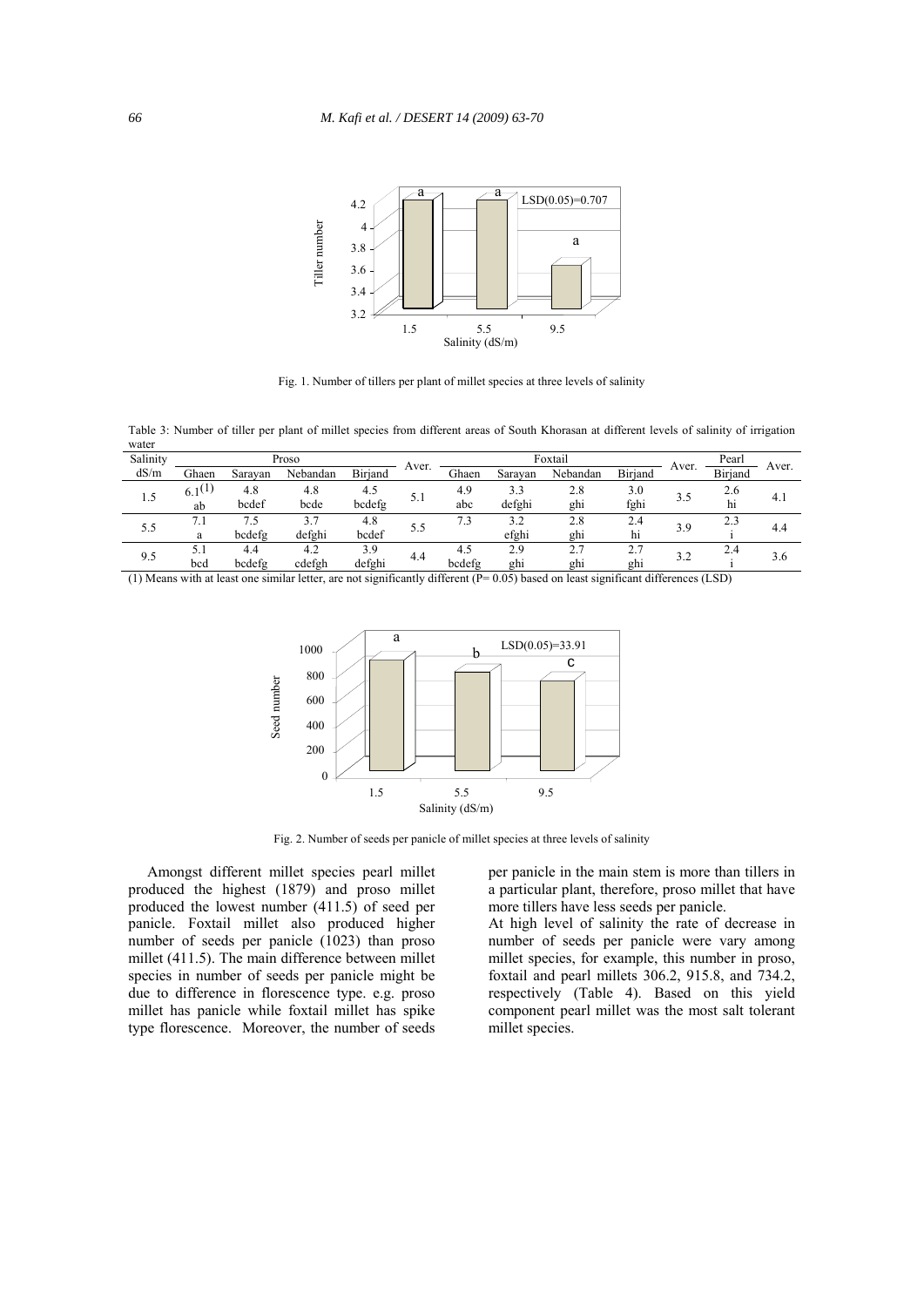

Fig. 1. Number of tillers per plant of millet species at three levels of salinity

Table 3: Number of tiller per plant of millet species from different areas of South Khorasan at different levels of salinity of irrigation water

| Salinity |             |         | Proso    |                | Aver. |        | Foxtail | Aver.    | Pearl           | Aver. |                |     |
|----------|-------------|---------|----------|----------------|-------|--------|---------|----------|-----------------|-------|----------------|-----|
| dS/m     | Ghaen       | Saravan | Nebandan | <b>Biriand</b> |       | Ghaen  | Saravan | Nebandan | <b>Biriand</b>  |       | <b>Biriand</b> |     |
| 1.5      | $6.1^{(1)}$ | 4.8     | 4.8      | 4.5            | 5.1   | 4.9    | 3.3     | 2.8      | 3.0             |       | 2.6            | 4.1 |
|          | ab          | bcdef   | bcde     | bcdefg         |       | abc    | defghi  | ghi      | fghi            | 3.5   | h1             |     |
| 5.5      | 7.1         | 7.5     | 3.7      | 4.8            |       | 7.3    | 3.2     | 2.8      | 2.4             | 3.9   | 2.1            | 4.4 |
|          | a           | bcdefg  | defghi   | bcdef          | 5.5   |        | efghi   | ghi      | h1              |       |                |     |
| 9.5      | 5.1         | 4.4     | 4.2      | 3.9            | 4.4   | 4.5    | 2.9     | 2.7      | 2.7             | 3.2   | 2.4            | 3.6 |
|          | bcd         | bcdefg  | cdefgh   | defghi         |       | bcdefg | ghi     | ghi      | gh <sub>1</sub> |       |                |     |

(1) Means with at least one similar letter, are not significantly different (P= 0.05) based on least significant differences (LSD)



Fig. 2. Number of seeds per panicle of millet species at three levels of salinity

 Amongst different millet species pearl millet produced the highest (1879) and proso millet produced the lowest number (411.5) of seed per panicle. Foxtail millet also produced higher number of seeds per panicle (1023) than proso millet (411.5). The main difference between millet species in number of seeds per panicle might be due to difference in florescence type. e.g. proso millet has panicle while foxtail millet has spike type florescence. Moreover, the number of seeds

per panicle in the main stem is more than tillers in a particular plant, therefore, proso millet that have more tillers have less seeds per panicle.

At high level of salinity the rate of decrease in number of seeds per panicle were vary among millet species, for example, this number in proso, foxtail and pearl millets 306.2, 915.8, and 734.2, respectively (Table 4). Based on this yield component pearl millet was the most salt tolerant millet species.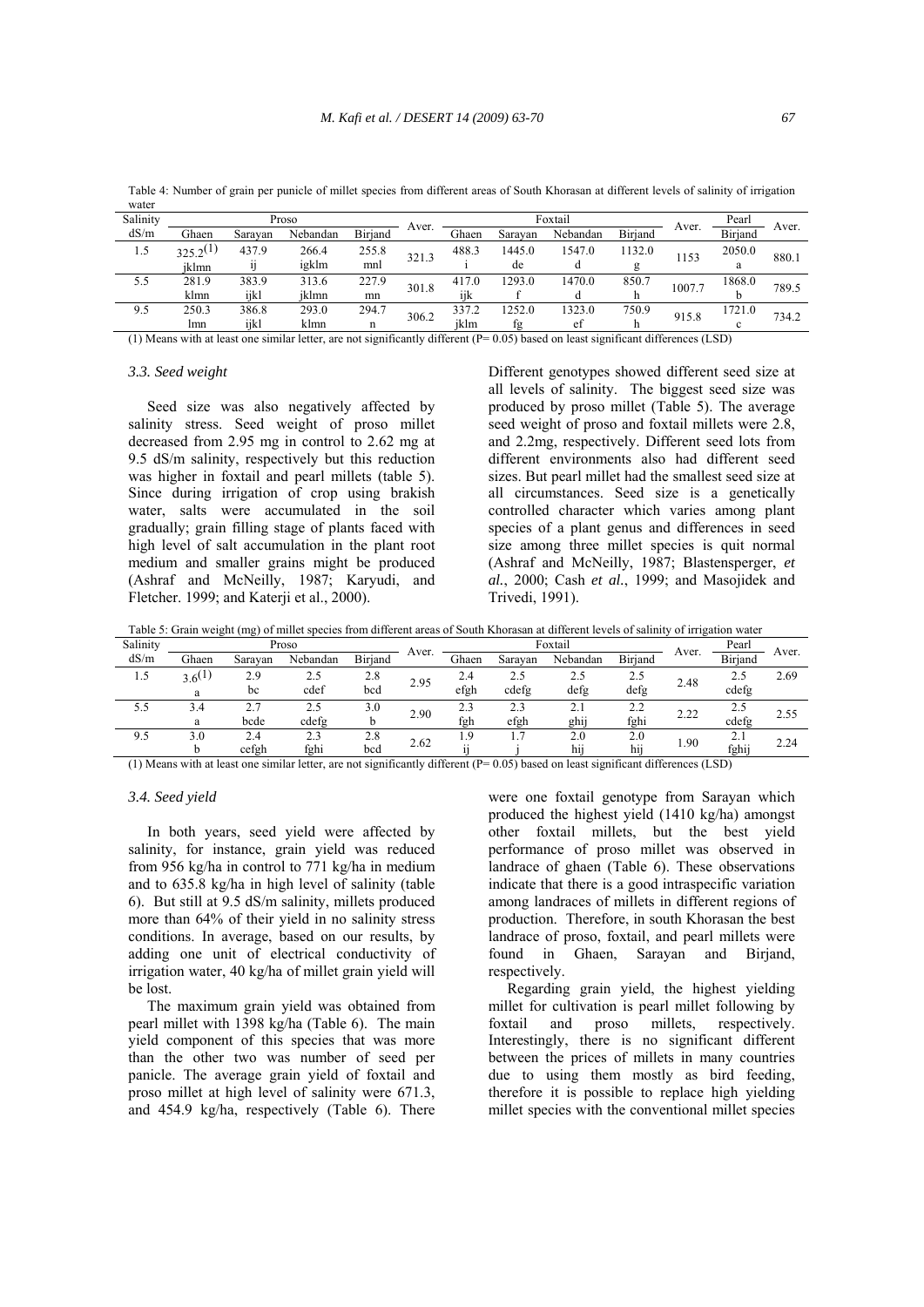Table 4: Number of grain per punicle of millet species from different areas of South Khorasan at different levels of salinity of irrigation water

| Salinity |               |         | Proso    |                |       |       | Foxtail |          | Pearl          |        |                |       |
|----------|---------------|---------|----------|----------------|-------|-------|---------|----------|----------------|--------|----------------|-------|
| dS/m     | Ghaen         | Saravan | Nebandan | <b>Biriand</b> | Aver. | Ghaen | Saravan | Nebandan | <b>Biriand</b> | Aver.  | <b>Biriand</b> | Aver. |
| 1.5      | $325.2^{(1)}$ | 437.9   | 266.4    | 255.8          | 321.3 | 488.3 | 1445.0  | 1547.0   | 1132.0         | 1153   | 2050.0         | 880.1 |
|          | iklmn         |         | igklm    | mnl            |       |       | de      |          | g              |        |                |       |
| 5.5      | 281.9         | 383.9   | 313.6    | 227.9          | 301.8 | 417.0 | 1293.0  | 1470.0   | 850.7          | 1007.7 | 1868.0         | 789.5 |
|          | klmn          | iikl    | iklmn    | mn             |       | iik   |         |          | n              |        |                |       |
| 9.5      | 250.3         | 386.8   | 293.0    | 294.7          | 306.2 | 337.2 | 1252.0  | 1323.0   | 750.9          | 915.8  | 1721.0         | 734.2 |
|          | lmn           | ijkl    | klmn     |                |       | iklm  | fg      | ef       |                |        | c              |       |

(1) Means with at least one similar letter, are not significantly different  $(P= 0.05)$  based on least significant differences (LSD)

#### *3.3. Seed weight*

 Seed size was also negatively affected by salinity stress. Seed weight of proso millet decreased from 2.95 mg in control to 2.62 mg at 9.5 dS/m salinity, respectively but this reduction was higher in foxtail and pearl millets (table 5). Since during irrigation of crop using brakish water, salts were accumulated in the soil gradually; grain filling stage of plants faced with high level of salt accumulation in the plant root medium and smaller grains might be produced (Ashraf and McNeilly, 1987; Karyudi, and Fletcher. 1999; and Katerji et al., 2000).

Different genotypes showed different seed size at all levels of salinity. The biggest seed size was produced by proso millet (Table 5). The average seed weight of proso and foxtail millets were 2.8, and 2.2mg, respectively. Different seed lots from different environments also had different seed sizes. But pearl millet had the smallest seed size at all circumstances. Seed size is a genetically controlled character which varies among plant species of a plant genus and differences in seed size among three millet species is quit normal (Ashraf and McNeilly, 1987; Blastensperger, *et al.*, 2000; Cash *et al.*, 1999; and Masojidek and Trivedi, 1991).

Table 5: Grain weight (mg) of millet species from different areas of South Khorasan at different levels of salinity of irrigation water

| Salinity |             |         | Proso    |                |       | Foxtail |         |            |               |       | Pearl          | Aver. |
|----------|-------------|---------|----------|----------------|-------|---------|---------|------------|---------------|-------|----------------|-------|
| dS/m     | Ghaen       | Sarayan | Nebandan | <b>Biriand</b> | Aver. | Ghaen   | Saravan | Nebandan   | Biriand       | Aver. | <b>Biriand</b> |       |
| 1.5      | $3.6^{(1)}$ | 2.9     | 2.5      | 2.8            | 2.95  | 2.4     | 2.5     | 2.5        | 2.5           | 2.48  | 2.5            | 2.69  |
|          | a           | bc      | cdef     | bcd            |       | efgh    | cdefg   | defg       | defg          |       | cdefg          |       |
| 5.5      | 3.4         |         | 2.5      | 3.0            | 2.90  | 2.3     | 2.3     |            | 2.2           | 2.22  | 2.5            | 2.55  |
|          | a           | bcde    | cdefg    |                |       | fgh     | efgh    | ghij       | fghi          |       | cdefe          |       |
| 9.5      | 3.0         | 2.4     | 2.3      | 2.8            | 2.62  | 1.9     |         | 2.0        | 2.0           | 1.90  | 2.1            | 2.24  |
|          |             | cefgh   | fghi     | bcd<br>.       | .     |         |         | . .<br>h11 | hii<br>.<br>. |       | fghij          |       |

(1) Means with at least one similar letter, are not significantly different (P= 0.05) based on least significant differences (LSD)

## *3.4. Seed yield*

 In both years, seed yield were affected by salinity, for instance, grain yield was reduced from 956 kg/ha in control to 771 kg/ha in medium and to 635.8 kg/ha in high level of salinity (table 6). But still at 9.5 dS/m salinity, millets produced more than 64% of their yield in no salinity stress conditions. In average, based on our results, by adding one unit of electrical conductivity of irrigation water, 40 kg/ha of millet grain yield will be lost.

 The maximum grain yield was obtained from pearl millet with 1398 kg/ha (Table 6). The main yield component of this species that was more than the other two was number of seed per panicle. The average grain yield of foxtail and proso millet at high level of salinity were 671.3, and 454.9 kg/ha, respectively (Table 6). There were one foxtail genotype from Sarayan which produced the highest yield (1410 kg/ha) amongst other foxtail millets, but the best yield performance of proso millet was observed in landrace of ghaen (Table 6). These observations indicate that there is a good intraspecific variation among landraces of millets in different regions of production. Therefore, in south Khorasan the best landrace of proso, foxtail, and pearl millets were found in Ghaen, Sarayan and Birjand, respectively.

 Regarding grain yield, the highest yielding millet for cultivation is pearl millet following by foxtail and proso millets, respectively. Interestingly, there is no significant different between the prices of millets in many countries due to using them mostly as bird feeding, therefore it is possible to replace high yielding millet species with the conventional millet species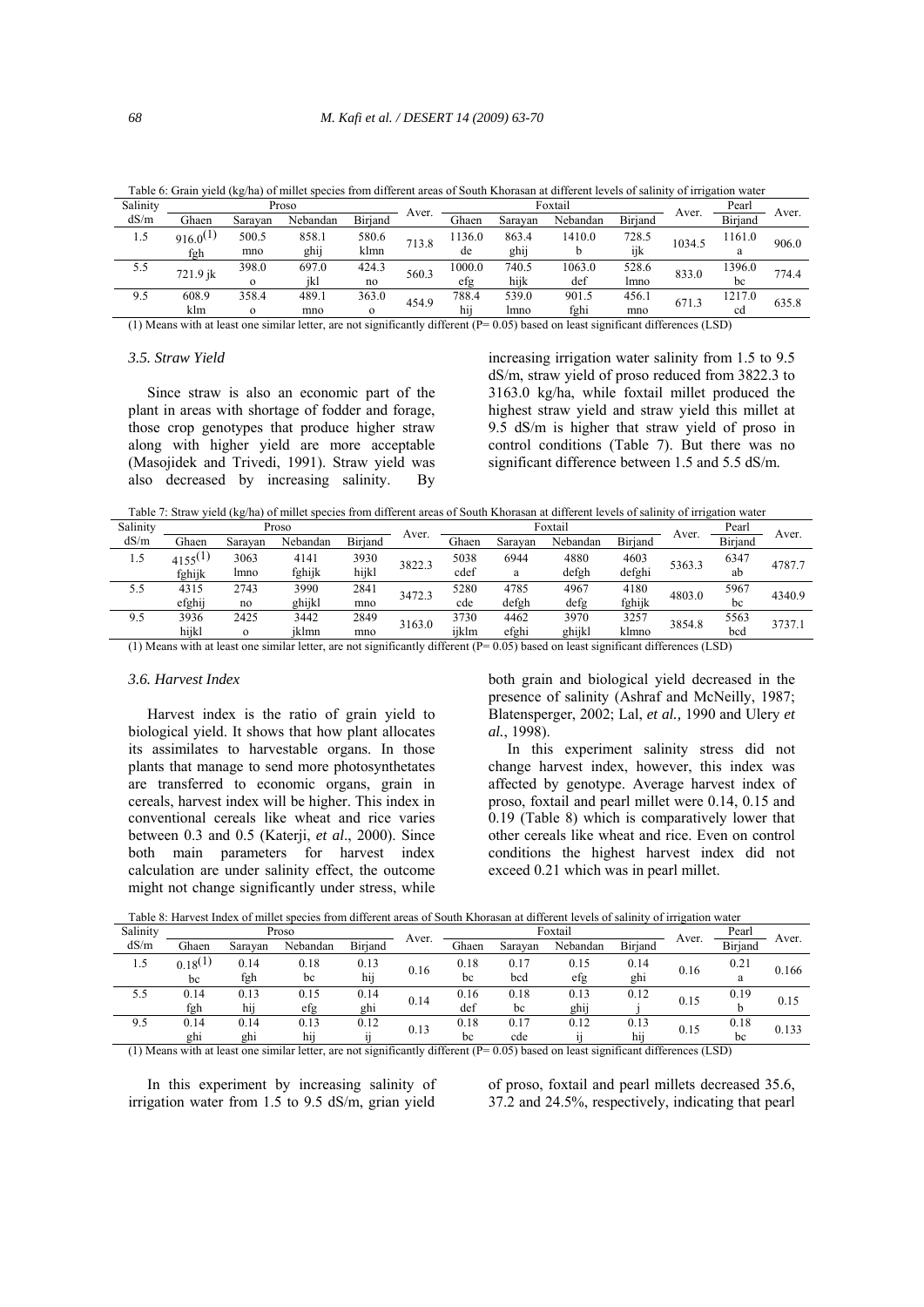|                             | Tubic of Stand flow the nat of millet species from anterent areas of south renormal at anterent fevels of sammy of impacton water |          |          |                |          |                  |                                                         |                      |                    |        |                             |       |
|-----------------------------|-----------------------------------------------------------------------------------------------------------------------------------|----------|----------|----------------|----------|------------------|---------------------------------------------------------|----------------------|--------------------|--------|-----------------------------|-------|
| Salinity                    |                                                                                                                                   |          | Proso    |                | Aver.    |                  |                                                         | Foxtail              |                    |        | Pearl                       |       |
| dS/m                        | Ghaen                                                                                                                             | Sarayan  | Nebandan | <b>Biriand</b> |          | Ghaen            | Saravan                                                 | Nebandan             | <b>Biriand</b>     | Aver.  | Biriand                     | Aver. |
| 1.5                         | $916.0^{(1)}$                                                                                                                     | 500.5    | 858.1    | 580.6          | 713.8    | 1136.0           | 863.4                                                   | 1410.0               | 728.5              | 1034.5 | 1161.0                      | 906.0 |
|                             | fgh                                                                                                                               | mno      | ghij     | klmn           |          | de               | ghij                                                    |                      | ijk                |        | a                           |       |
| 5.5                         | 721.9 jk                                                                                                                          | 398.0    | 697.0    | 424.3          | 560.3    | 1000.0           | 740.5                                                   | 1063.0               | 528.6              | 833.0  | 1396.0                      | 774.4 |
|                             |                                                                                                                                   | $\Omega$ | ikl      | no             |          | efg              | hijk                                                    | def                  | Imno               |        | bc                          |       |
| 9.5                         | 608.9                                                                                                                             | 358.4    | 489.1    | 363.0          | 454.9    | 788.4            | 539.0                                                   | 901.5                | 456.1              | 671.3  | 1217.0                      | 635.8 |
|                             | klm                                                                                                                               | $\Omega$ | mno      | $\Omega$       |          | $\cdot$ .<br>h11 | Imno                                                    | fghi                 | mno                |        | cd                          |       |
| $\sim$ $\sim$ $\sim$ $\sim$ | $\cdots$                                                                                                                          |          |          | $\cdot$        | $\cdots$ |                  | $\sim$ $\sim$ $\sim$ $\sim$ $\sim$ $\sim$ $\sim$ $\sim$ | $\sim$ $\sim$ $\sim$ | $\sim$<br>$\cdots$ |        | $\sim$ $\sim$ $\sim$ $\sim$ |       |

Table 6: Grain yield (kg/ha) of millet species from different areas of South Khorasan at different levels of salinity of irrigation water

(1) Means with at least one similar letter, are not significantly different (P= 0.05) based on least significant differences (LSD)

### *3.5. Straw Yield*

 Since straw is also an economic part of the plant in areas with shortage of fodder and forage, those crop genotypes that produce higher straw along with higher yield are more acceptable (Masojidek and Trivedi, 1991). Straw yield was also decreased by increasing salinity. By

increasing irrigation water salinity from 1.5 to 9.5 dS/m, straw yield of proso reduced from 3822.3 to 3163.0 kg/ha, while foxtail millet produced the highest straw yield and straw yield this millet at 9.5 dS/m is higher that straw yield of proso in control conditions (Table 7). But there was no significant difference between 1.5 and 5.5 dS/m.

Table 7: Straw yield (kg/ha) of millet species from different areas of South Khorasan at different levels of salinity of irrigation water

| Salinity |              |          | Proso    |         | Aver.  |       |         | Foxtail  |                | Aver.  | Pearl   | Aver.  |  |
|----------|--------------|----------|----------|---------|--------|-------|---------|----------|----------------|--------|---------|--------|--|
| dS/m     | Ghaen        | Saravan  | Nebandan | Biriand |        | Ghaen | Saravan | Nebandan | <b>Biriand</b> |        | Biriand |        |  |
| 1.5      | $4155^{(1)}$ | 3063     | 4141     | 3930    | 3822.3 | 5038  | 6944    | 4880     | 4603           | 5363.3 | 6347    | 4787.7 |  |
|          | fghijk       | lmno     | fghijk   | hijkl   |        | cdef  | a       | defgh    | defghi         |        | ab      |        |  |
| 5.5      | 4315         | 2743     | 3990     | 2841    | 3472.3 | 5280  | 4785    | 4967     | 4180           | 4803.0 | 5967    | 4340.9 |  |
|          | efghij       | no       | ghijkl   | mno     |        | cde   | defgh   | defg     | fghijk         |        | bc      |        |  |
| 9.5      | 3936         | 2425     | 3442     | 2849    | 3163.0 | 3730  | 4462    | 3970     | 3257           | 3854.8 | 5563    |        |  |
|          | hijkl        | $\Omega$ | jklmn    | mno     |        | ijklm | efghi   | ghijkl   | klmno          |        | bcd     | 3737.1 |  |

(1) Means with at least one similar letter, are not significantly different (P= 0.05) based on least significant differences (LSD)

#### *3.6. Harvest Index*

 Harvest index is the ratio of grain yield to biological yield. It shows that how plant allocates its assimilates to harvestable organs. In those plants that manage to send more photosynthetates are transferred to economic organs, grain in cereals, harvest index will be higher. This index in conventional cereals like wheat and rice varies between 0.3 and 0.5 (Katerji, *et al*., 2000). Since both main parameters for harvest index calculation are under salinity effect, the outcome might not change significantly under stress, while both grain and biological yield decreased in the presence of salinity (Ashraf and McNeilly, 1987; Blatensperger, 2002; Lal, *et al.,* 1990 and Ulery *et al.*, 1998).

 In this experiment salinity stress did not change harvest index, however, this index was affected by genotype. Average harvest index of proso, foxtail and pearl millet were 0.14, 0.15 and 0.19 (Table 8) which is comparatively lower that other cereals like wheat and rice. Even on control conditions the highest harvest index did not exceed 0.21 which was in pearl millet.

Table 8: Harvest Index of millet species from different areas of South Khorasan at different levels of salinity of irrigation water

| Salinity |              |         | Proso    |                |       |       |         | Foxtail   |                | Pearl | Aver.          |       |
|----------|--------------|---------|----------|----------------|-------|-------|---------|-----------|----------------|-------|----------------|-------|
| dS/m     | Ghaen        | Saravan | Nebandan | <b>Biriand</b> | Aver. | Ghaen | Saravan | Nebandan  | Birjand        | Aver. | <b>Biriand</b> |       |
| 1.5      | $0.18^{(1)}$ | 0.14    | 0.18     | 0.13           | 0.16  | 0.18  | 0.17    | 0.15      | 0.14           | 0.16  | 0.21           | 0.166 |
|          | bc           | fgh     | bc       | hij            |       | bc    | bcd     | efg       | ghi            |       | a              |       |
| 5.5      | 0.14         | 0.13    | 0.15     | 0.14           | 0.14  | 0.16  | 0.18    | 0.13      | 0.12           | 0.15  | 0.19           | 0.15  |
|          | fgh          | hii     | efg      | ghi            |       | def   | bc      | ghij      |                |       |                |       |
| 9.5      | 0.14         | 0.14    | 0.13     | 0.12           | 0.13  | 0.18  | 0.17    | 0.12      | 0.13           | 0.15  | 0.18           | 0.133 |
|          | ghi          | ghi     | .<br>h11 | $\cdot$ .      |       | bc    | cde     | $\cdot$ . | $\cdot$<br>h11 |       | bc             |       |

(1) Means with at least one similar letter, are not significantly different (P= 0.05) based on least significant differences (LSD)

 In this experiment by increasing salinity of irrigation water from 1.5 to 9.5 dS/m, grian yield of proso, foxtail and pearl millets decreased 35.6, 37.2 and 24.5%, respectively, indicating that pearl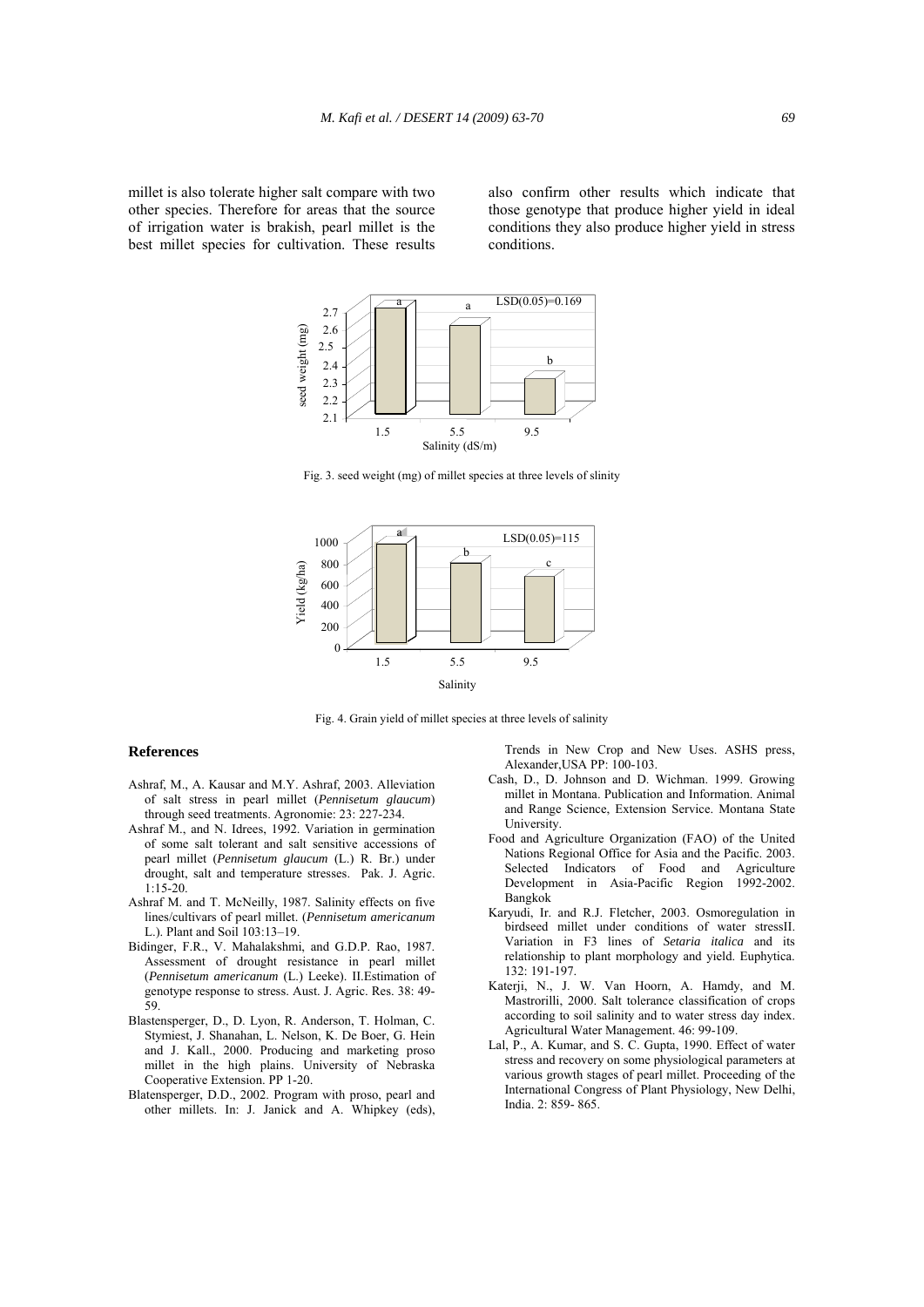millet is also tolerate higher salt compare with two other species. Therefore for areas that the source of irrigation water is brakish, pearl millet is the best millet species for cultivation. These results also confirm other results which indicate that those genotype that produce higher yield in ideal conditions they also produce higher yield in stress conditions.



Fig. 3. seed weight (mg) of millet species at three levels of slinity



Fig. 4. Grain yield of millet species at three levels of salinity

#### **References**

- Ashraf, M., A. Kausar and M.Y. Ashraf, 2003. Alleviation of salt stress in pearl millet (*Pennisetum glaucum*) through seed treatments. Agronomie: 23: 227-234.
- Ashraf M., and N. Idrees, 1992. Variation in germination of some salt tolerant and salt sensitive accessions of pearl millet (*Pennisetum glaucum* (L.) R. Br.) under drought, salt and temperature stresses. Pak. J. Agric. 1:15-20.
- Ashraf M. and T. McNeilly, 1987. Salinity effects on five lines/cultivars of pearl millet. (*Pennisetum americanum* L.). Plant and Soil 103:13–19.
- Bidinger, F.R., V. Mahalakshmi, and G.D.P. Rao, 1987. Assessment of drought resistance in pearl millet (*Pennisetum americanum* (L.) Leeke). II.Estimation of genotype response to stress. Aust. J. Agric. Res. 38: 49- 59.
- Blastensperger, D., D. Lyon, R. Anderson, T. Holman, C. Stymiest, J. Shanahan, L. Nelson, K. De Boer, G. Hein and J. Kall., 2000. Producing and marketing proso millet in the high plains. University of Nebraska Cooperative Extension. PP 1-20.
- Blatensperger, D.D., 2002. Program with proso, pearl and other millets. In: J. Janick and A. Whipkey (eds),

 Trends in New Crop and New Uses. ASHS press, Alexander,USA PP: 100-103.

- Cash, D., D. Johnson and D. Wichman. 1999. Growing millet in Montana. Publication and Information. Animal and Range Science, Extension Service. Montana State **University**
- Food and Agriculture Organization (FAO) of the United Nations Regional Office for Asia and the Pacific. 2003. Selected Indicators of Food and Agriculture Development in Asia-Pacific Region 1992-2002. Bangkok
- Karyudi, Ir. and R.J. Fletcher, 2003. Osmoregulation in birdseed millet under conditions of water stressII. Variation in F3 lines of *Setaria italica* and its relationship to plant morphology and yield. Euphytica.132: 191-197.
- Katerji, N., J. W. Van Hoorn, A. Hamdy, and M. Mastrorilli, 2000. Salt tolerance classification of crops according to soil salinity and to water stress day index. Agricultural Water Management. 46: 99-109.
- Lal, P., A. Kumar, and S. C. Gupta, 1990. Effect of water stress and recovery on some physiological parameters at various growth stages of pearl millet. Proceeding of the International Congress of Plant Physiology, New Delhi, India. 2: 859- 865.